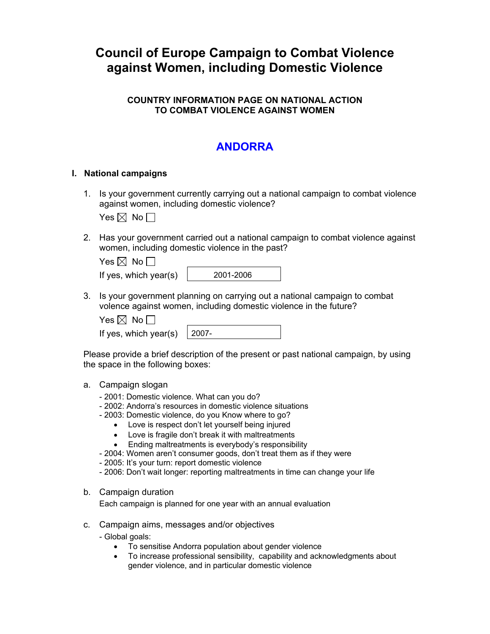# **Council of Europe Campaign to Combat Violence against Women, including Domestic Violence**

## **COUNTRY INFORMATION PAGE ON NATIONAL ACTION TO COMBAT VIOLENCE AGAINST WOMEN**

## **ANDORRA**

#### **I. National campaigns**

1. Is your government currently carrying out a national campaign to combat violence against women, including domestic violence?

Yes  $\boxtimes$  No  $\Box$ 

2. Has your government carried out a national campaign to combat violence against women, including domestic violence in the past?

| Yes $\boxtimes$ No $\Box$ |           |
|---------------------------|-----------|
| If yes, which year(s)     | 2001-2006 |

3. Is your government planning on carrying out a national campaign to combat volence against women, including domestic violence in the future?

| es $\boxtimes$ |  | N٥ |  |
|----------------|--|----|--|
|----------------|--|----|--|

| If yes, which year(s) |  |  |  |  | $ 2007-$ |
|-----------------------|--|--|--|--|----------|
|-----------------------|--|--|--|--|----------|

Please provide a brief description of the present or past national campaign, by using the space in the following boxes:

- a. Campaign slogan
	- 2001: Domestic violence. What can you do?
	- 2002: Andorra's resources in domestic violence situations
	- 2003: Domestic violence, do you Know where to go?
		- Love is respect don't let yourself being injured
		- Love is fragile don't break it with maltreatments
		- Ending maltreatments is everybody's responsibility
	- 2004: Women aren't consumer goods, don't treat them as if they were
	- 2005: It's your turn: report domestic violence
	- 2006: Don't wait longer: reporting maltreatments in time can change your life
- b. Campaign duration

Each campaign is planned for one year with an annual evaluation

- c. Campaign aims, messages and/or objectives
	- Global goals:
		- To sensitise Andorra population about gender violence
		- To increase professional sensibility, capability and acknowledgments about gender violence, and in particular domestic violence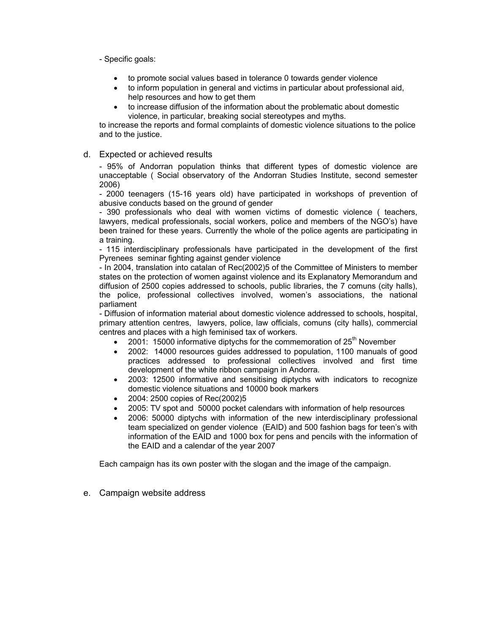- Specific goals:

- to promote social values based in tolerance 0 towards gender violence
- to inform population in general and victims in particular about professional aid, help resources and how to get them
- to increase diffusion of the information about the problematic about domestic violence, in particular, breaking social stereotypes and myths.

to increase the reports and formal complaints of domestic violence situations to the police and to the justice.

d. Expected or achieved results

- 95% of Andorran population thinks that different types of domestic violence are unacceptable ( Social observatory of the Andorran Studies Institute, second semester 2006)

- 2000 teenagers (15-16 years old) have participated in workshops of prevention of abusive conducts based on the ground of gender

- 390 professionals who deal with women victims of domestic violence ( teachers, lawyers, medical professionals, social workers, police and members of the NGO's) have been trained for these years. Currently the whole of the police agents are participating in a training.

- 115 interdisciplinary professionals have participated in the development of the first Pyrenees seminar fighting against gender violence

- In 2004, translation into catalan of Rec(2002)5 of the Committee of Ministers to member states on the protection of women against violence and its Explanatory Memorandum and diffusion of 2500 copies addressed to schools, public libraries, the 7 comuns (city halls), the police, professional collectives involved, women's associations, the national parliament

- Diffusion of information material about domestic violence addressed to schools, hospital, primary attention centres, lawyers, police, law officials, comuns (city halls), commercial centres and places with a high feminised tax of workers.

- 2001: 15000 informative diptychs for the commemoration of  $25<sup>th</sup>$  November
- 2002: 14000 resources guides addressed to population, 1100 manuals of good practices addressed to professional collectives involved and first time development of the white ribbon campaign in Andorra.
- 2003: 12500 informative and sensitising diptychs with indicators to recognize domestic violence situations and 10000 book markers
- 2004: 2500 copies of Rec(2002)5
- 2005: TV spot and 50000 pocket calendars with information of help resources
- 2006: 50000 diptychs with information of the new interdisciplinary professional team specialized on gender violence (EAID) and 500 fashion bags for teen's with information of the EAID and 1000 box for pens and pencils with the information of the EAID and a calendar of the year 2007

Each campaign has its own poster with the slogan and the image of the campaign.

e. Campaign website address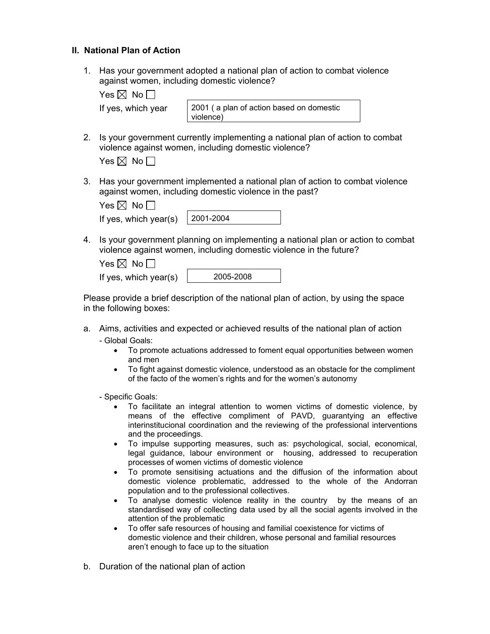## **II. National Plan of Action**

1. Has your government adopted a national plan of action to combat violence against women, including domestic violence?

| es I⊠l | N٥ |  |
|--------|----|--|
|--------|----|--|

|  | If yes, which year |  |
|--|--------------------|--|
|  |                    |  |

2001 ( a plan of action based on domestic violence)

2. Is your government currently implementing a national plan of action to combat violence against women, including domestic violence?

| $\mathsf{res}\boxtimes\mathsf{\ }N$ o |  |  |
|---------------------------------------|--|--|
|---------------------------------------|--|--|

3. Has your government implemented a national plan of action to combat violence against women, including domestic violence in the past?

|  | Yes $\boxtimes$ No $\Box$ |  |  |  |  |
|--|---------------------------|--|--|--|--|
|  |                           |  |  |  |  |

| If yes, which year(s) | $\mid$ 2001-2004 |
|-----------------------|------------------|
|-----------------------|------------------|

4. Is your government planning on implementing a national plan or action to combat violence against women, including domestic violence in the future?

| Yes $\boxtimes$ No $\Box$ |  |
|---------------------------|--|
| If yes, which year(s)     |  |

005-2008

Please provide a brief description of the national plan of action, by using the space in the following boxes:

- a. Aims, activities and expected or achieved results of the national plan of action - Global Goals:
	- To promote actuations addressed to foment equal opportunities between women and men
	- To fight against domestic violence, understood as an obstacle for the compliment of the facto of the women's rights and for the women's autonomy

- Specific Goals:

- To facilitate an integral attention to women victims of domestic violence, by means of the effective compliment of PAVD, guarantying an effective interinstitucional coordination and the reviewing of the professional interventions and the proceedings.
- To impulse supporting measures, such as: psychological, social, economical, legal guidance, labour environment or housing, addressed to recuperation processes of women victims of domestic violence
- To promote sensitising actuations and the diffusion of the information about domestic violence problematic, addressed to the whole of the Andorran population and to the professional collectives.
- To analyse domestic violence reality in the country by the means of an standardised way of collecting data used by all the social agents involved in the attention of the problematic
- To offer safe resources of housing and familial coexistence for victims of domestic violence and their children, whose personal and familial resources aren't enough to face up to the situation
- b. Duration of the national plan of action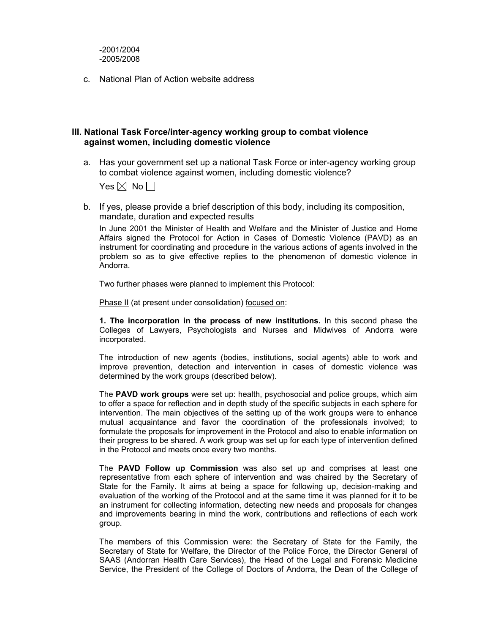c. National Plan of Action website address

#### **III. National Task Force/inter-agency working group to combat violence against women, including domestic violence**

a. Has your government set up a national Task Force or inter-agency working group to combat violence against women, including domestic violence?

Yes  $\boxtimes$  No  $\Box$ 

b. If yes, please provide a brief description of this body, including its composition, mandate, duration and expected results

In June 2001 the Minister of Health and Welfare and the Minister of Justice and Home Affairs signed the Protocol for Action in Cases of Domestic Violence (PAVD) as an instrument for coordinating and procedure in the various actions of agents involved in the problem so as to give effective replies to the phenomenon of domestic violence in Andorra.

Two further phases were planned to implement this Protocol:

Phase II (at present under consolidation) focused on:

**1. The incorporation in the process of new institutions.** In this second phase the Colleges of Lawyers, Psychologists and Nurses and Midwives of Andorra were incorporated.

The introduction of new agents (bodies, institutions, social agents) able to work and improve prevention, detection and intervention in cases of domestic violence was determined by the work groups (described below).

The **PAVD work groups** were set up: health, psychosocial and police groups, which aim to offer a space for reflection and in depth study of the specific subjects in each sphere for intervention. The main objectives of the setting up of the work groups were to enhance mutual acquaintance and favor the coordination of the professionals involved; to formulate the proposals for improvement in the Protocol and also to enable information on their progress to be shared. A work group was set up for each type of intervention defined in the Protocol and meets once every two months.

The **PAVD Follow up Commission** was also set up and comprises at least one representative from each sphere of intervention and was chaired by the Secretary of State for the Family. It aims at being a space for following up, decision-making and evaluation of the working of the Protocol and at the same time it was planned for it to be an instrument for collecting information, detecting new needs and proposals for changes and improvements bearing in mind the work, contributions and reflections of each work group.

The members of this Commission were: the Secretary of State for the Family, the Secretary of State for Welfare, the Director of the Police Force, the Director General of SAAS (Andorran Health Care Services), the Head of the Legal and Forensic Medicine Service, the President of the College of Doctors of Andorra, the Dean of the College of